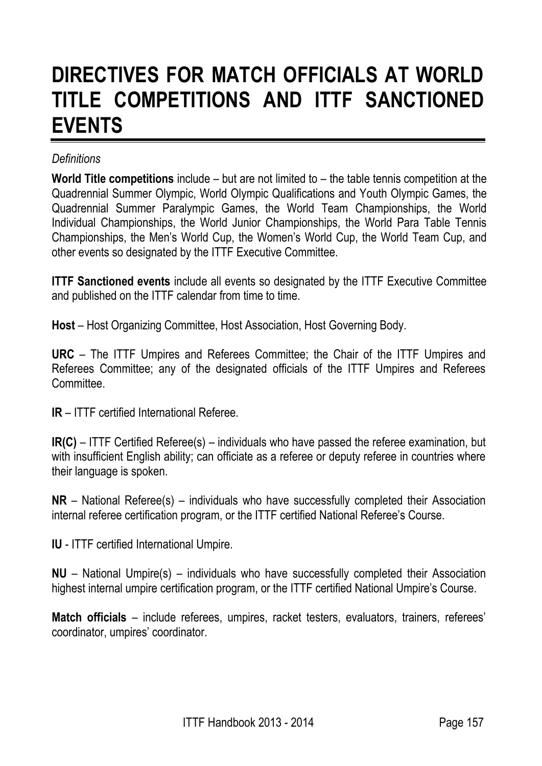# **DIRECTIVES FOR MATCH OFFICIALS AT WORLD TITLE COMPETITIONS AND ITTF SANCTIONED EVENTS**

#### *Definitions*

**World Title competitions** include – but are not limited to – the table tennis competition at the Quadrennial Summer Olympic, World Olympic Qualifications and Youth Olympic Games, the Quadrennial Summer Paralympic Games, the World Team Championships, the World Individual Championships, the World Junior Championships, the World Para Table Tennis Championships, the Men's World Cup, the Women's World Cup, the World Team Cup, and other events so designated by the ITTF Executive Committee.

**ITTF Sanctioned events** include all events so designated by the ITTF Executive Committee and published on the ITTF calendar from time to time.

**Host** – Host Organizing Committee, Host Association, Host Governing Body.

**URC** – The ITTF Umpires and Referees Committee; the Chair of the ITTF Umpires and Referees Committee; any of the designated officials of the ITTF Umpires and Referees Committee.

**IR** – ITTF certified International Referee.

**IR(C)** – ITTF Certified Referee(s) – individuals who have passed the referee examination, but with insufficient English ability; can officiate as a referee or deputy referee in countries where their language is spoken.

**NR** – National Referee(s) – individuals who have successfully completed their Association internal referee certification program, or the ITTF certified National Referee's Course.

**IU** - ITTF certified International Umpire.

**NU** – National Umpire(s) – individuals who have successfully completed their Association highest internal umpire certification program, or the ITTF certified National Umpire's Course.

**Match officials** – include referees, umpires, racket testers, evaluators, trainers, referees' coordinator, umpires' coordinator.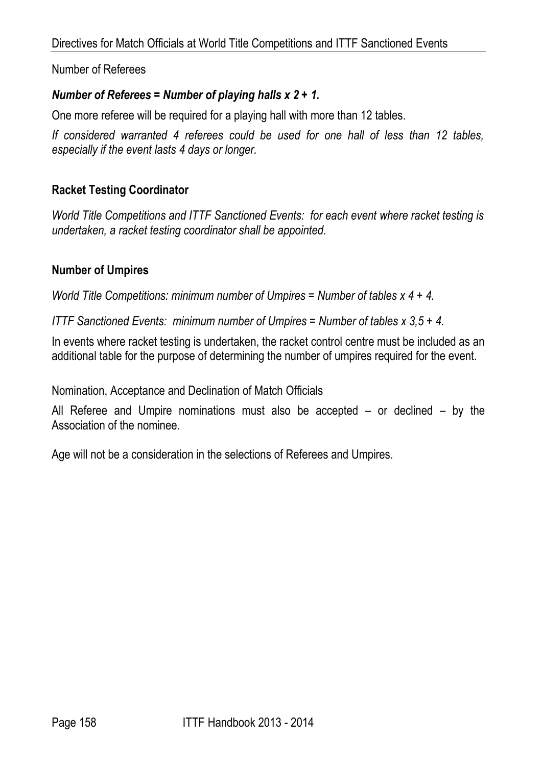Number of Referees

### *Number of Referees = Number of playing halls x 2 + 1.*

One more referee will be required for a playing hall with more than 12 tables.

*If considered warranted 4 referees could be used for one hall of less than 12 tables, especially if the event lasts 4 days or longer.* 

### **Racket Testing Coordinator**

*World Title Competitions and ITTF Sanctioned Events: for each event where racket testing is undertaken, a racket testing coordinator shall be appointed.* 

#### **Number of Umpires**

*World Title Competitions: minimum number of Umpires = Number of tables x 4 + 4.*

*ITTF Sanctioned Events: minimum number of Umpires = Number of tables x 3,5 + 4.* 

In events where racket testing is undertaken, the racket control centre must be included as an additional table for the purpose of determining the number of umpires required for the event.

Nomination, Acceptance and Declination of Match Officials

All Referee and Umpire nominations must also be accepted – or declined – by the Association of the nominee.

Age will not be a consideration in the selections of Referees and Umpires.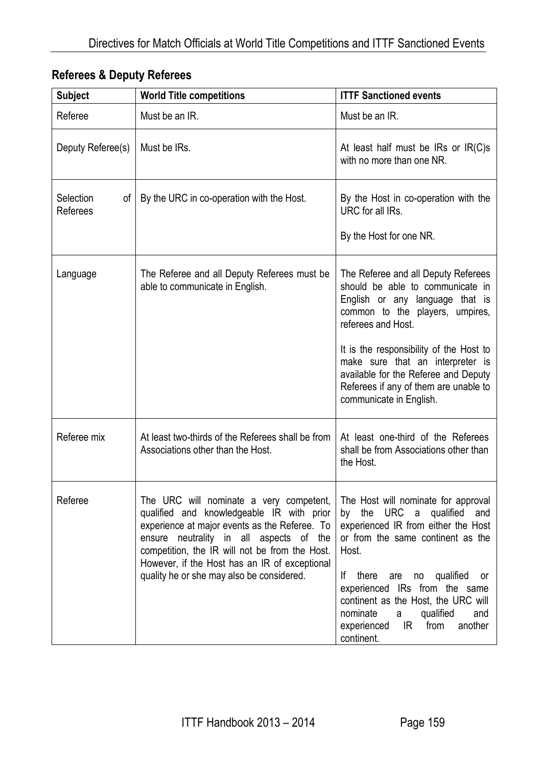| <b>Subject</b>              | <b>World Title competitions</b>                                                                                                                                                                                                                                                                                                  | <b>ITTF Sanctioned events</b>                                                                                                                                                                                                                                                                                                                                                   |
|-----------------------------|----------------------------------------------------------------------------------------------------------------------------------------------------------------------------------------------------------------------------------------------------------------------------------------------------------------------------------|---------------------------------------------------------------------------------------------------------------------------------------------------------------------------------------------------------------------------------------------------------------------------------------------------------------------------------------------------------------------------------|
| Referee                     | Must be an IR.                                                                                                                                                                                                                                                                                                                   | Must be an IR.                                                                                                                                                                                                                                                                                                                                                                  |
| Deputy Referee(s)           | Must be IRs.                                                                                                                                                                                                                                                                                                                     | At least half must be IRs or $IR(C)s$<br>with no more than one NR.                                                                                                                                                                                                                                                                                                              |
| Selection<br>οf<br>Referees | By the URC in co-operation with the Host.                                                                                                                                                                                                                                                                                        | By the Host in co-operation with the<br>URC for all IRs.<br>By the Host for one NR.                                                                                                                                                                                                                                                                                             |
| Language                    | The Referee and all Deputy Referees must be<br>able to communicate in English.                                                                                                                                                                                                                                                   | The Referee and all Deputy Referees<br>should be able to communicate in<br>English or any language that is<br>common to the players, umpires,<br>referees and Host.<br>It is the responsibility of the Host to<br>make sure that an interpreter is<br>available for the Referee and Deputy<br>Referees if any of them are unable to<br>communicate in English.                  |
| Referee mix                 | At least two-thirds of the Referees shall be from<br>Associations other than the Host.                                                                                                                                                                                                                                           | At least one-third of the Referees<br>shall be from Associations other than<br>the Host.                                                                                                                                                                                                                                                                                        |
| Referee                     | The URC will nominate a very competent,<br>qualified and knowledgeable IR with prior<br>experience at major events as the Referee. To<br>ensure neutrality in all aspects of the<br>competition, the IR will not be from the Host.<br>However, if the Host has an IR of exceptional<br>quality he or she may also be considered. | The Host will nominate for approval<br>the URC a qualified<br>and<br>by<br>experienced IR from either the Host<br>or from the same continent as the<br>Host.<br>there<br>lf.<br>no qualified<br>are<br>- or<br>experienced IRs from the same<br>continent as the Host, the URC will<br>nominate<br>a<br>qualified<br>and<br>experienced<br>IR.<br>from<br>another<br>continent. |

## **Referees & Deputy Referees**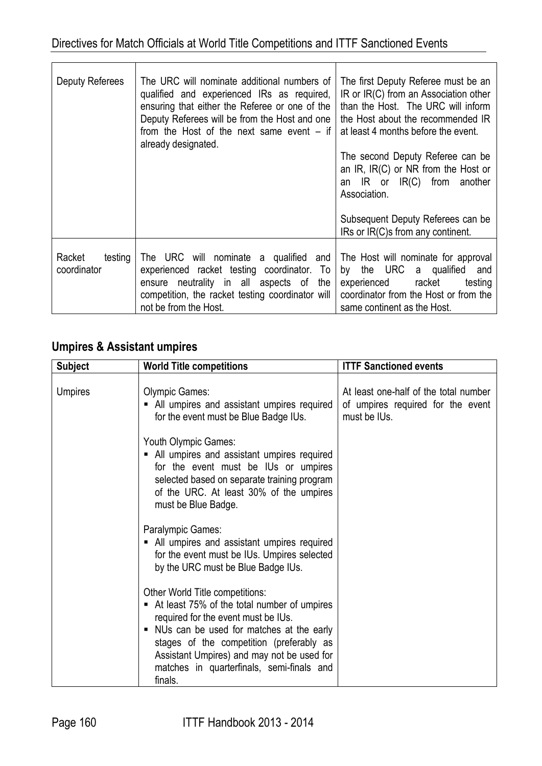| Deputy Referees                  | The URC will nominate additional numbers of<br>qualified and experienced IRs as required,<br>ensuring that either the Referee or one of the<br>Deputy Referees will be from the Host and one<br>from the Host of the next same event $-$ if<br>already designated. | The first Deputy Referee must be an<br>IR or IR(C) from an Association other<br>than the Host. The URC will inform<br>the Host about the recommended IR<br>at least 4 months before the event.<br>The second Deputy Referee can be<br>an IR, IR(C) or NR from the Host or<br>an IR or IR(C) from another<br>Association.<br>Subsequent Deputy Referees can be<br>IRs or IR(C)s from any continent. |
|----------------------------------|--------------------------------------------------------------------------------------------------------------------------------------------------------------------------------------------------------------------------------------------------------------------|----------------------------------------------------------------------------------------------------------------------------------------------------------------------------------------------------------------------------------------------------------------------------------------------------------------------------------------------------------------------------------------------------|
| Racket<br>testing<br>coordinator | The URC will nominate a qualified and<br>experienced racket testing coordinator. To<br>ensure neutrality in all aspects of<br>the<br>competition, the racket testing coordinator will                                                                              | The Host will nominate for approval<br>by the URC a qualified<br>and<br>experienced racket<br>testing<br>coordinator from the Host or from the                                                                                                                                                                                                                                                     |
|                                  | not be from the Host.                                                                                                                                                                                                                                              | same continent as the Host.                                                                                                                                                                                                                                                                                                                                                                        |

## **Umpires & Assistant umpires**

| <b>Subject</b> | <b>World Title competitions</b>                                                                                                                                                                                                                                                                                     | <b>ITTF Sanctioned events</b>                                                              |
|----------------|---------------------------------------------------------------------------------------------------------------------------------------------------------------------------------------------------------------------------------------------------------------------------------------------------------------------|--------------------------------------------------------------------------------------------|
| <b>Umpires</b> | <b>Olympic Games:</b><br>• All umpires and assistant umpires required<br>for the event must be Blue Badge IUs.                                                                                                                                                                                                      | At least one-half of the total number<br>of umpires required for the event<br>must be IUs. |
|                | Youth Olympic Games:<br>• All umpires and assistant umpires required<br>for the event must be IUs or umpires<br>selected based on separate training program<br>of the URC. At least 30% of the umpires<br>must be Blue Badge.                                                                                       |                                                                                            |
|                | Paralympic Games:<br>• All umpires and assistant umpires required<br>for the event must be IUs. Umpires selected<br>by the URC must be Blue Badge IUs.                                                                                                                                                              |                                                                                            |
|                | Other World Title competitions:<br>At least 75% of the total number of umpires<br>required for the event must be IUs.<br>NUs can be used for matches at the early<br>stages of the competition (preferably as<br>Assistant Umpires) and may not be used for<br>matches in quarterfinals, semi-finals and<br>finals. |                                                                                            |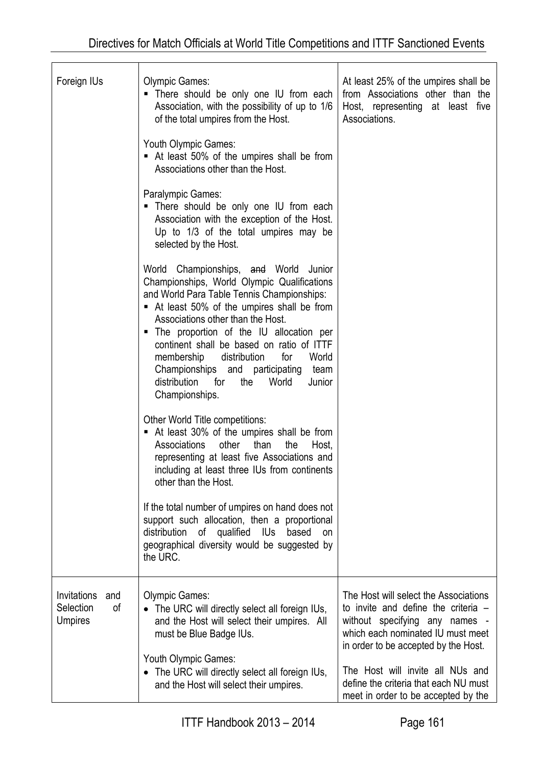| Foreign IUs                                             | <b>Olympic Games:</b><br>. There should be only one IU from each<br>Association, with the possibility of up to 1/6<br>of the total umpires from the Host.                                                                                                                                                                                                                                                                                                                     | At least 25% of the umpires shall be<br>from Associations other than the<br>Host, representing at least five<br>Associations.                                                               |
|---------------------------------------------------------|-------------------------------------------------------------------------------------------------------------------------------------------------------------------------------------------------------------------------------------------------------------------------------------------------------------------------------------------------------------------------------------------------------------------------------------------------------------------------------|---------------------------------------------------------------------------------------------------------------------------------------------------------------------------------------------|
|                                                         | Youth Olympic Games:<br>At least 50% of the umpires shall be from<br>Associations other than the Host.                                                                                                                                                                                                                                                                                                                                                                        |                                                                                                                                                                                             |
|                                                         | Paralympic Games:<br>There should be only one IU from each<br>п<br>Association with the exception of the Host.<br>Up to 1/3 of the total umpires may be<br>selected by the Host.                                                                                                                                                                                                                                                                                              |                                                                                                                                                                                             |
|                                                         | World Championships, and World Junior<br>Championships, World Olympic Qualifications<br>and World Para Table Tennis Championships:<br>At least 50% of the umpires shall be from<br>Associations other than the Host.<br>The proportion of the IU allocation per<br>ш<br>continent shall be based on ratio of ITTF<br>distribution<br>membership<br>for<br>World<br>Championships and participating<br>team<br>distribution<br>for<br>the<br>World<br>Junior<br>Championships. |                                                                                                                                                                                             |
|                                                         | Other World Title competitions:<br>At least 30% of the umpires shall be from<br>ш<br>Associations<br>other<br>than<br>the<br>Host,<br>representing at least five Associations and<br>including at least three IUs from continents<br>other than the Host.                                                                                                                                                                                                                     |                                                                                                                                                                                             |
|                                                         | If the total number of umpires on hand does not<br>support such allocation, then a proportional<br>distribution of qualified IUs based<br>on<br>geographical diversity would be suggested by<br>the URC.                                                                                                                                                                                                                                                                      |                                                                                                                                                                                             |
| Invitations<br>and<br>Selection<br>0f<br><b>Umpires</b> | <b>Olympic Games:</b><br>• The URC will directly select all foreign IUs,<br>and the Host will select their umpires. All<br>must be Blue Badge IUs.                                                                                                                                                                                                                                                                                                                            | The Host will select the Associations<br>to invite and define the criteria -<br>without specifying any names -<br>which each nominated IU must meet<br>in order to be accepted by the Host. |
|                                                         | Youth Olympic Games:<br>• The URC will directly select all foreign IUs,<br>and the Host will select their umpires.                                                                                                                                                                                                                                                                                                                                                            | The Host will invite all NUs and<br>define the criteria that each NU must<br>meet in order to be accepted by the                                                                            |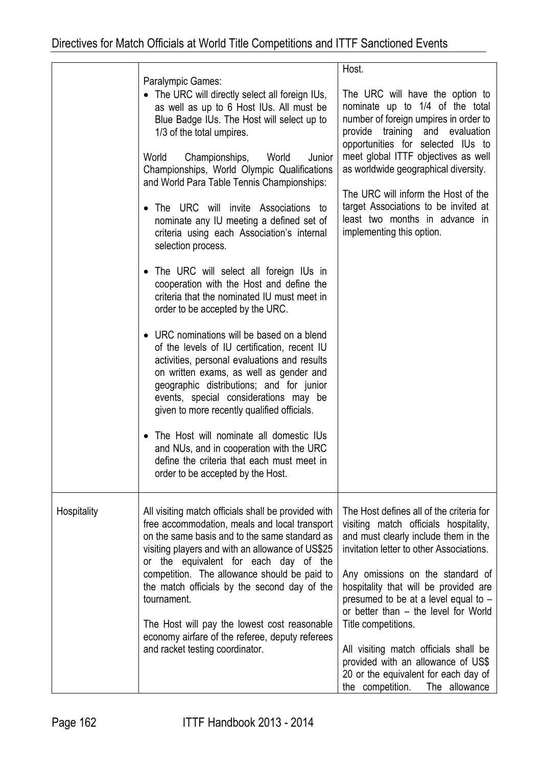|             | Paralympic Games:<br>• The URC will directly select all foreign IUs,<br>as well as up to 6 Host IUs. All must be<br>Blue Badge IUs. The Host will select up to<br>1/3 of the total umpires.<br>World<br>Championships,<br>World<br>Junior<br>Championships, World Olympic Qualifications<br>and World Para Table Tennis Championships:<br>The URC will invite Associations to<br>$\bullet$<br>nominate any IU meeting a defined set of<br>criteria using each Association's internal<br>selection process.<br>The URC will select all foreign IUs in<br>cooperation with the Host and define the<br>criteria that the nominated IU must meet in<br>order to be accepted by the URC.<br>• URC nominations will be based on a blend<br>of the levels of IU certification, recent IU<br>activities, personal evaluations and results<br>on written exams, as well as gender and<br>geographic distributions; and for junior<br>events, special considerations may be<br>given to more recently qualified officials.<br>The Host will nominate all domestic IUs<br>and NUs, and in cooperation with the URC<br>define the criteria that each must meet in<br>order to be accepted by the Host. | Host.<br>The URC will have the option to<br>nominate up to 1/4 of the total<br>number of foreign umpires in order to<br>provide training and evaluation<br>opportunities for selected IUs to<br>meet global ITTF objectives as well<br>as worldwide geographical diversity.<br>The URC will inform the Host of the<br>target Associations to be invited at<br>least two months in advance in<br>implementing this option.                                                                                             |
|-------------|--------------------------------------------------------------------------------------------------------------------------------------------------------------------------------------------------------------------------------------------------------------------------------------------------------------------------------------------------------------------------------------------------------------------------------------------------------------------------------------------------------------------------------------------------------------------------------------------------------------------------------------------------------------------------------------------------------------------------------------------------------------------------------------------------------------------------------------------------------------------------------------------------------------------------------------------------------------------------------------------------------------------------------------------------------------------------------------------------------------------------------------------------------------------------------------------|-----------------------------------------------------------------------------------------------------------------------------------------------------------------------------------------------------------------------------------------------------------------------------------------------------------------------------------------------------------------------------------------------------------------------------------------------------------------------------------------------------------------------|
| Hospitality | All visiting match officials shall be provided with<br>free accommodation, meals and local transport<br>on the same basis and to the same standard as<br>visiting players and with an allowance of US\$25<br>or the equivalent for each day of the<br>competition. The allowance should be paid to<br>the match officials by the second day of the<br>tournament.<br>The Host will pay the lowest cost reasonable<br>economy airfare of the referee, deputy referees<br>and racket testing coordinator.                                                                                                                                                                                                                                                                                                                                                                                                                                                                                                                                                                                                                                                                                    | The Host defines all of the criteria for<br>visiting match officials hospitality,<br>and must clearly include them in the<br>invitation letter to other Associations.<br>Any omissions on the standard of<br>hospitality that will be provided are<br>presumed to be at a level equal to -<br>or better than - the level for World<br>Title competitions.<br>All visiting match officials shall be<br>provided with an allowance of US\$<br>20 or the equivalent for each day of<br>the competition.<br>The allowance |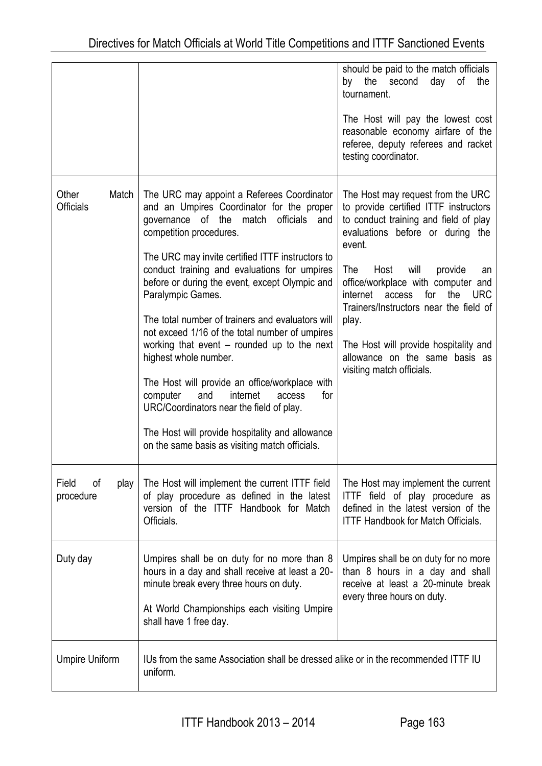|                                  |                                                                                                                                                                                                                                                                                                                                                                                                                                                                                                                                                                                                                                                                                                                                                                            | should be paid to the match officials<br>the<br>of<br>by<br>second<br>day<br>the<br>tournament.<br>The Host will pay the lowest cost<br>reasonable economy airfare of the<br>referee, deputy referees and racket<br>testing coordinator.                                                                                                                                                                                                                     |
|----------------------------------|----------------------------------------------------------------------------------------------------------------------------------------------------------------------------------------------------------------------------------------------------------------------------------------------------------------------------------------------------------------------------------------------------------------------------------------------------------------------------------------------------------------------------------------------------------------------------------------------------------------------------------------------------------------------------------------------------------------------------------------------------------------------------|--------------------------------------------------------------------------------------------------------------------------------------------------------------------------------------------------------------------------------------------------------------------------------------------------------------------------------------------------------------------------------------------------------------------------------------------------------------|
| Match<br>Other<br>Officials      | The URC may appoint a Referees Coordinator<br>and an Umpires Coordinator for the proper<br>governance of the match officials<br>and<br>competition procedures.<br>The URC may invite certified ITTF instructors to<br>conduct training and evaluations for umpires<br>before or during the event, except Olympic and<br>Paralympic Games.<br>The total number of trainers and evaluators will<br>not exceed 1/16 of the total number of umpires<br>working that event – rounded up to the next<br>highest whole number.<br>The Host will provide an office/workplace with<br>computer<br>and<br>internet<br>for<br>access<br>URC/Coordinators near the field of play.<br>The Host will provide hospitality and allowance<br>on the same basis as visiting match officials. | The Host may request from the URC<br>to provide certified ITTF instructors<br>to conduct training and field of play<br>evaluations before or during the<br>event.<br>will<br>The<br>Host<br>provide<br>an<br>office/workplace with computer and<br>for<br>the<br>internet<br>access<br><b>URC</b><br>Trainers/Instructors near the field of<br>play.<br>The Host will provide hospitality and<br>allowance on the same basis as<br>visiting match officials. |
| Field<br>οf<br>play<br>procedure | The Host will implement the current ITTF field<br>of play procedure as defined in the latest<br>version of the ITTF Handbook for Match<br>Officials.                                                                                                                                                                                                                                                                                                                                                                                                                                                                                                                                                                                                                       | The Host may implement the current<br>ITTF field of play procedure as<br>defined in the latest version of the<br><b>ITTF Handbook for Match Officials.</b>                                                                                                                                                                                                                                                                                                   |
| Duty day                         | Umpires shall be on duty for no more than 8<br>hours in a day and shall receive at least a 20-<br>minute break every three hours on duty.<br>At World Championships each visiting Umpire<br>shall have 1 free day.                                                                                                                                                                                                                                                                                                                                                                                                                                                                                                                                                         | Umpires shall be on duty for no more<br>than 8 hours in a day and shall<br>receive at least a 20-minute break<br>every three hours on duty.                                                                                                                                                                                                                                                                                                                  |
| <b>Umpire Uniform</b>            | IUs from the same Association shall be dressed alike or in the recommended ITTF IU<br>uniform.                                                                                                                                                                                                                                                                                                                                                                                                                                                                                                                                                                                                                                                                             |                                                                                                                                                                                                                                                                                                                                                                                                                                                              |